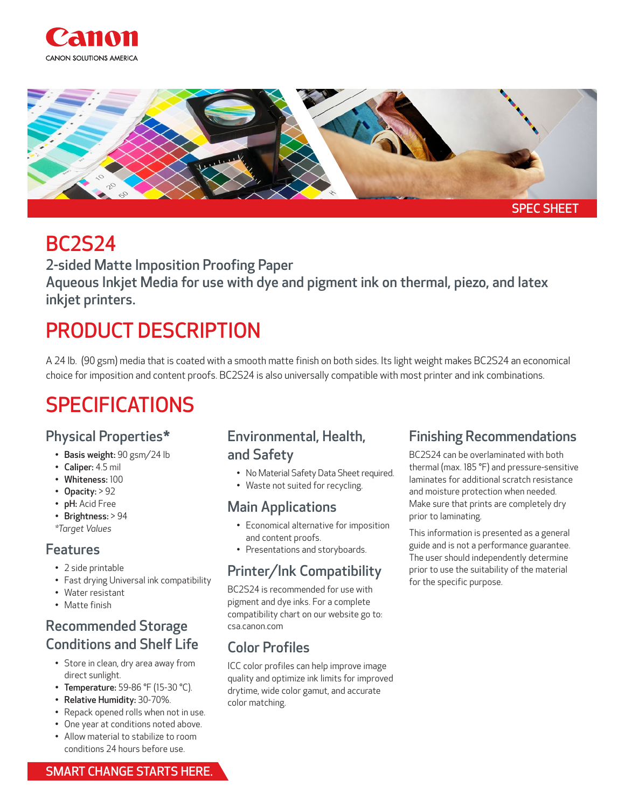



## BC2S24

2-sided Matte Imposition Proofing Paper Aqueous Inkjet Media for use with dye and pigment ink on thermal, piezo, and latex inkjet printers.

# PRODUCT DESCRIPTION

A 24 lb. (90 gsm) media that is coated with a smooth matte finish on both sides. Its light weight makes BC2S24 an economical choice for imposition and content proofs. BC2S24 is also universally compatible with most printer and ink combinations.

# SPECIFICATIONS

### Physical Properties\*

- Basis weight: 90 gsm/24 lb
- Caliper: 4.5 mil
- Whiteness: 100
- Opacity: > 92
- pH: Acid Free
- Brightness: > 94

#### *\*Target Values*

#### Features

- 2 side printable
- Fast drying Universal ink compatibility
- Water resistant
- Matte finish

### Recommended Storage Conditions and Shelf Life

- Store in clean, dry area away from direct sunlight.
- Temperature: 59-86 °F (15-30 °C).
- Relative Humidity: 30-70%.
- Repack opened rolls when not in use.
- One year at conditions noted above.
- Allow material to stabilize to room conditions 24 hours before use.

### Environmental, Health, and Safety

- No Material Safety Data Sheet required.
- Waste not suited for recycling.

#### Main Applications

- Economical alternative for imposition and content proofs.
- Presentations and storyboards.

### Printer/Ink Compatibility

BC2S24 is recommended for use with pigment and dye inks. For a complete compatibility chart on our website go to: csa.canon.com

## Color Profiles

ICC color profiles can help improve image quality and optimize ink limits for improved drytime, wide color gamut, and accurate color matching.

### Finishing Recommendations

BC2S24 can be overlaminated with both thermal (max. 185 °F) and pressure-sensitive laminates for additional scratch resistance and moisture protection when needed. Make sure that prints are completely dry prior to laminating.

This information is presented as a general guide and is not a performance guarantee. The user should independently determine prior to use the suitability of the material for the specific purpose.

SMART CHANGE STARTS HERE.